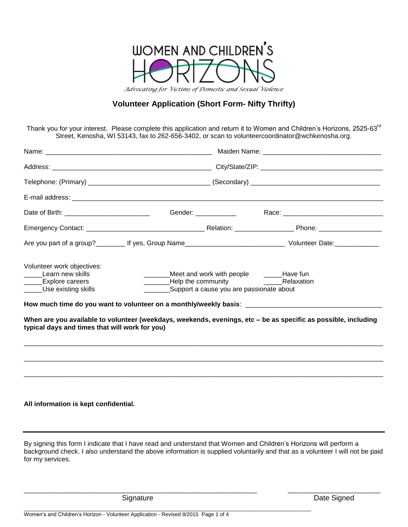

# **Volunteer Application (Short Form- Nifty Thrifty)**

Thank you for your interest. Please complete this application and return it to Women and Children's Horizons, 2525-63<sup>rd</sup> Street, Kenosha, WI 53143, fax to 262-656-3402, or scan to volunteercoordinator@wchkenosha.org.

| How much time do you want to volunteer on a monthly/weekly basis: __________________________________<br>When are you available to volunteer (weekdays, weekends, evenings, etc - be as specific as possible, including<br>typical days and times that will work for you) |                                                                                                                                             |
|--------------------------------------------------------------------------------------------------------------------------------------------------------------------------------------------------------------------------------------------------------------------------|---------------------------------------------------------------------------------------------------------------------------------------------|
| All information is kept confidential.                                                                                                                                                                                                                                    | By signing this form I indicate that I have read and understand that Women and Children's Horizons will perform a                           |
|                                                                                                                                                                                                                                                                          | Meet and work with people ______Have fun<br>Learning Help the community The Learning Relaxation<br>Support a cause you are passionate about |

background check. I also understand the above information is supplied voluntarily and that as a volunteer I will not be paid for my services.

\_\_\_\_\_\_\_\_\_\_\_\_\_\_\_\_\_\_\_\_\_\_\_\_\_\_\_\_\_\_\_\_\_\_\_\_\_\_\_\_\_\_\_\_\_\_\_\_\_\_\_\_\_\_\_\_\_\_\_\_\_\_\_ \_\_\_\_\_\_\_\_\_\_\_\_\_\_\_\_\_\_\_\_\_\_\_\_\_

\_\_\_\_\_\_\_\_\_\_\_\_\_\_\_\_\_\_\_\_\_\_\_\_\_\_\_\_\_\_\_\_\_\_\_\_\_\_\_\_\_\_\_\_\_\_\_\_\_\_\_\_\_\_\_\_\_\_\_\_\_\_\_\_\_\_\_\_\_\_\_\_\_\_\_\_\_\_\_\_\_\_\_\_\_\_\_\_\_\_\_\_\_\_\_\_\_

Signature **Date Signature Date Signed**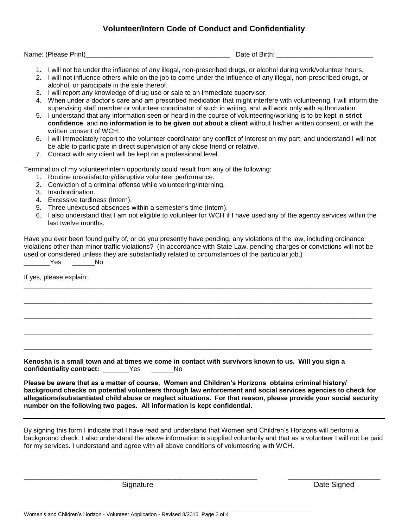# **Volunteer/Intern Code of Conduct and Confidentiality**

Name: (Please Print)\_\_\_\_\_\_\_\_\_\_\_\_\_\_\_\_\_\_\_\_\_\_\_\_\_\_\_\_\_\_\_\_\_\_\_\_\_\_\_ Date of Birth: \_\_\_\_\_\_\_\_\_\_\_\_\_\_\_\_\_\_\_\_\_\_\_\_\_\_

- 1. I will not be under the influence of any illegal, non-prescribed drugs, or alcohol during work/volunteer hours.
- 2. I will not influence others while on the job to come under the influence of any illegal, non-prescribed drugs, or alcohol, or participate in the sale thereof.
- 3. I will report any knowledge of drug use or sale to an immediate supervisor.
- 4. When under a doctor's care and am prescribed medication that might interfere with volunteering, I will inform the supervising staff member or volunteer coordinator of such in writing, and will work only with authorization.
- 5. I understand that any information seen or heard in the course of volunteering/working is to be kept in **strict confidence**, and **no information is to be given out about a client** without his/her written consent, or with the written consent of WCH.
- 6. I will immediately report to the volunteer coordinator any conflict of interest on my part, and understand I will not be able to participate in direct supervision of any close friend or relative.
- 7. Contact with any client will be kept on a professional level.

Termination of my volunteer/intern opportunity could result from any of the following:

- 1. Routine unsatisfactory/disruptive volunteer performance.
- 2. Conviction of a criminal offense while volunteering/interning.
- 3. Insubordination.
- 4. Excessive tardiness (Intern).
- 5. Three unexcused absences within a semester's time (Intern).
- 6. I also understand that I am not eligible to volunteer for WCH if I have used any of the agency services within the last twelve months.

Have you ever been found guilty of, or do you presently have pending, any violations of the law, including ordinance violations other than minor traffic violations? (In accordance with State Law, pending charges or convictions will not be used or considered unless they are substantially related to circumstances of the particular job.)

\_\_\_\_\_\_\_\_\_\_\_\_\_\_\_\_\_\_\_\_\_\_\_\_\_\_\_\_\_\_\_\_\_\_\_\_\_\_\_\_\_\_\_\_\_\_\_\_\_\_\_\_\_\_\_\_\_\_\_\_\_\_\_\_\_\_\_\_\_\_\_\_\_\_\_\_\_\_\_\_\_\_\_\_\_\_\_\_\_\_\_\_\_\_

\_\_\_\_\_\_\_\_\_\_\_\_\_\_\_\_\_\_\_\_\_\_\_\_\_\_\_\_\_\_\_\_\_\_\_\_\_\_\_\_\_\_\_\_\_\_\_\_\_\_\_\_\_\_\_\_\_\_\_\_\_\_\_\_\_\_\_\_\_\_\_\_\_\_\_\_\_\_\_\_\_\_\_\_\_\_\_\_\_\_\_\_\_\_

\_\_\_\_\_\_\_\_\_\_\_\_\_\_\_\_\_\_\_\_\_\_\_\_\_\_\_\_\_\_\_\_\_\_\_\_\_\_\_\_\_\_\_\_\_\_\_\_\_\_\_\_\_\_\_\_\_\_\_\_\_\_\_\_\_\_\_\_\_\_\_\_\_\_\_\_\_\_\_\_\_\_\_\_\_\_\_\_\_\_\_\_\_\_

\_\_\_\_\_\_\_\_\_\_\_\_\_\_\_\_\_\_\_\_\_\_\_\_\_\_\_\_\_\_\_\_\_\_\_\_\_\_\_\_\_\_\_\_\_\_\_\_\_\_\_\_\_\_\_\_\_\_\_\_\_\_\_\_\_\_\_\_\_\_\_\_\_\_\_\_\_\_\_\_\_\_\_\_\_\_\_\_\_\_\_\_\_\_

\_\_\_\_\_\_\_\_\_\_\_\_\_\_\_\_\_\_\_\_\_\_\_\_\_\_\_\_\_\_\_\_\_\_\_\_\_\_\_\_\_\_\_\_\_\_\_\_\_\_\_\_\_\_\_\_\_\_\_\_\_\_\_\_\_\_\_\_\_\_\_\_\_\_\_\_\_\_\_\_\_\_\_\_\_\_\_\_\_\_\_\_\_\_

\_\_\_\_\_\_\_Yes \_\_\_\_\_\_No

If yes, please explain:

**Kenosha is a small town and at times we come in contact with survivors known to us. Will you sign a confidentiality contract:** \_\_\_\_\_\_\_Yes \_\_\_\_\_\_No

**Please be aware that as a matter of course, Women and Children's Horizons obtains criminal history/ background checks on potential volunteers through law enforcement and social services agencies to check for allegations/substantiated child abuse or neglect situations. For that reason, please provide your social security number on the following two pages. All information is kept confidential.**

By signing this form I indicate that I have read and understand that Women and Children's Horizons will perform a background check. I also understand the above information is supplied voluntarily and that as a volunteer I will not be paid for my services. I understand and agree with all above conditions of volunteering with WCH.

\_\_\_\_\_\_\_\_\_\_\_\_\_\_\_\_\_\_\_\_\_\_\_\_\_\_\_\_\_\_\_\_\_\_\_\_\_\_\_\_\_\_\_\_\_\_\_\_\_\_\_\_\_\_\_\_\_\_\_\_\_\_\_ \_\_\_\_\_\_\_\_\_\_\_\_\_\_\_\_\_\_\_\_\_\_\_\_\_

\_\_\_\_\_\_\_\_\_\_\_\_\_\_\_\_\_\_\_\_\_\_\_\_\_\_\_\_\_\_\_\_\_\_\_\_\_\_\_\_\_\_\_\_\_\_\_\_\_\_\_\_\_\_\_\_\_\_\_\_\_\_\_\_\_\_\_\_\_\_\_\_\_\_\_\_\_\_\_\_\_\_\_\_\_\_\_\_\_\_\_\_\_\_\_\_\_

Signature **Date Signed** Signature **Date Signed**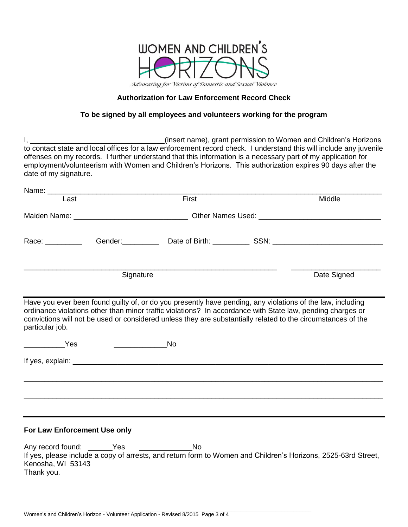

### **Authorization for Law Enforcement Record Check**

### **To be signed by all employees and volunteers working for the program**

I, \_\_\_\_\_\_\_\_\_\_\_\_\_\_\_\_\_\_\_\_\_\_\_\_\_\_\_\_\_\_\_\_\_(insert name), grant permission to Women and Children's Horizons to contact state and local offices for a law enforcement record check. I understand this will include any juvenile offenses on my records. I further understand that this information is a necessary part of my application for employment/volunteerism with Women and Children's Horizons. This authorization expires 90 days after the date of my signature.

| Last                                                                                                                                                                                                                          |           | First                                                                                                        | Middle      |
|-------------------------------------------------------------------------------------------------------------------------------------------------------------------------------------------------------------------------------|-----------|--------------------------------------------------------------------------------------------------------------|-------------|
|                                                                                                                                                                                                                               |           |                                                                                                              |             |
|                                                                                                                                                                                                                               |           |                                                                                                              |             |
| Race: and the state of the state of the state of the state of the state of the state of the state of the state of the state of the state of the state of the state of the state of the state of the state of the state of the |           |                                                                                                              |             |
|                                                                                                                                                                                                                               | Signature |                                                                                                              | Date Signed |
| particular job.<br><b>Example Street Press</b>                                                                                                                                                                                |           | convictions will not be used or considered unless they are substantially related to the circumstances of the |             |
|                                                                                                                                                                                                                               |           |                                                                                                              |             |
|                                                                                                                                                                                                                               |           |                                                                                                              |             |
|                                                                                                                                                                                                                               |           |                                                                                                              |             |
|                                                                                                                                                                                                                               |           |                                                                                                              |             |
| For Law Enforcement Use only                                                                                                                                                                                                  |           |                                                                                                              |             |

Any record found: \_\_\_\_\_\_Yes \_\_\_\_\_\_\_\_\_\_\_\_\_\_No If yes, please include a copy of arrests, and return form to Women and Children's Horizons, 2525-63rd Street, Kenosha, WI 53143 Thank you.